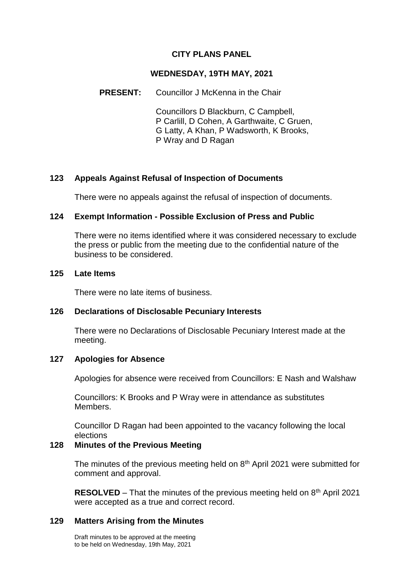### **CITY PLANS PANEL**

#### **WEDNESDAY, 19TH MAY, 2021**

#### **PRESENT:** Councillor J McKenna in the Chair

Councillors D Blackburn, C Campbell, P Carlill, D Cohen, A Garthwaite, C Gruen, G Latty, A Khan, P Wadsworth, K Brooks, P Wray and D Ragan

### **123 Appeals Against Refusal of Inspection of Documents**

There were no appeals against the refusal of inspection of documents.

## **124 Exempt Information - Possible Exclusion of Press and Public**

There were no items identified where it was considered necessary to exclude the press or public from the meeting due to the confidential nature of the business to be considered.

#### **125 Late Items**

There were no late items of business.

### **126 Declarations of Disclosable Pecuniary Interests**

There were no Declarations of Disclosable Pecuniary Interest made at the meeting.

### **127 Apologies for Absence**

Apologies for absence were received from Councillors: E Nash and Walshaw

Councillors: K Brooks and P Wray were in attendance as substitutes Members.

Councillor D Ragan had been appointed to the vacancy following the local elections

## **128 Minutes of the Previous Meeting**

The minutes of the previous meeting held on  $8<sup>th</sup>$  April 2021 were submitted for comment and approval.

**RESOLVED** – That the minutes of the previous meeting held on 8<sup>th</sup> April 2021 were accepted as a true and correct record.

### **129 Matters Arising from the Minutes**

Draft minutes to be approved at the meeting to be held on Wednesday, 19th May, 2021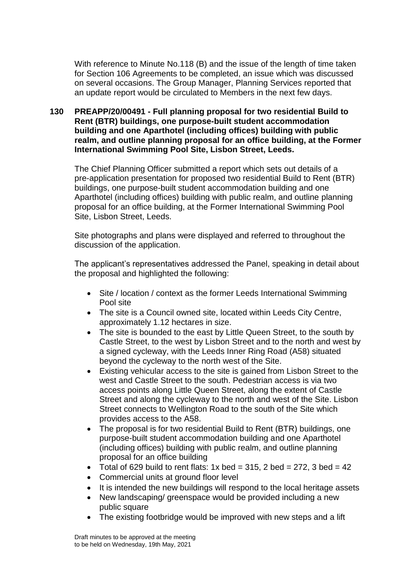With reference to Minute No.118 (B) and the issue of the length of time taken for Section 106 Agreements to be completed, an issue which was discussed on several occasions. The Group Manager, Planning Services reported that an update report would be circulated to Members in the next few days.

## **130 PREAPP/20/00491 - Full planning proposal for two residential Build to Rent (BTR) buildings, one purpose-built student accommodation building and one Aparthotel (including offices) building with public realm, and outline planning proposal for an office building, at the Former International Swimming Pool Site, Lisbon Street, Leeds.**

The Chief Planning Officer submitted a report which sets out details of a pre-application presentation for proposed two residential Build to Rent (BTR) buildings, one purpose-built student accommodation building and one Aparthotel (including offices) building with public realm, and outline planning proposal for an office building, at the Former International Swimming Pool Site, Lisbon Street, Leeds.

Site photographs and plans were displayed and referred to throughout the discussion of the application.

The applicant's representatives addressed the Panel, speaking in detail about the proposal and highlighted the following:

- Site / location / context as the former Leeds International Swimming Pool site
- The site is a Council owned site, located within Leeds City Centre, approximately 1.12 hectares in size.
- The site is bounded to the east by Little Queen Street, to the south by Castle Street, to the west by Lisbon Street and to the north and west by a signed cycleway, with the Leeds Inner Ring Road (A58) situated beyond the cycleway to the north west of the Site.
- Existing vehicular access to the site is gained from Lisbon Street to the west and Castle Street to the south. Pedestrian access is via two access points along Little Queen Street, along the extent of Castle Street and along the cycleway to the north and west of the Site. Lisbon Street connects to Wellington Road to the south of the Site which provides access to the A58.
- The proposal is for two residential Build to Rent (BTR) buildings, one purpose-built student accommodation building and one Aparthotel (including offices) building with public realm, and outline planning proposal for an office building
- Total of 629 build to rent flats:  $1x$  bed = 315, 2 bed = 272, 3 bed = 42
- Commercial units at ground floor level
- It is intended the new buildings will respond to the local heritage assets
- New landscaping/ greenspace would be provided including a new public square
- The existing footbridge would be improved with new steps and a lift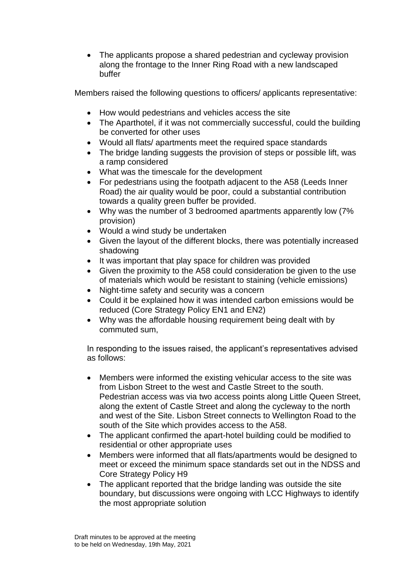• The applicants propose a shared pedestrian and cycleway provision along the frontage to the Inner Ring Road with a new landscaped buffer

Members raised the following questions to officers/ applicants representative:

- How would pedestrians and vehicles access the site
- The Aparthotel, if it was not commercially successful, could the building be converted for other uses
- Would all flats/ apartments meet the required space standards
- The bridge landing suggests the provision of steps or possible lift, was a ramp considered
- What was the timescale for the development
- For pedestrians using the footpath adjacent to the A58 (Leeds Inner Road) the air quality would be poor, could a substantial contribution towards a quality green buffer be provided.
- Why was the number of 3 bedroomed apartments apparently low (7% provision)
- Would a wind study be undertaken
- Given the layout of the different blocks, there was potentially increased shadowing
- It was important that play space for children was provided
- Given the proximity to the A58 could consideration be given to the use of materials which would be resistant to staining (vehicle emissions)
- Night-time safety and security was a concern
- Could it be explained how it was intended carbon emissions would be reduced (Core Strategy Policy EN1 and EN2)
- Why was the affordable housing requirement being dealt with by commuted sum,

In responding to the issues raised, the applicant's representatives advised as follows:

- Members were informed the existing vehicular access to the site was from Lisbon Street to the west and Castle Street to the south. Pedestrian access was via two access points along Little Queen Street, along the extent of Castle Street and along the cycleway to the north and west of the Site. Lisbon Street connects to Wellington Road to the south of the Site which provides access to the A58.
- The applicant confirmed the apart-hotel building could be modified to residential or other appropriate uses
- Members were informed that all flats/apartments would be designed to meet or exceed the minimum space standards set out in the NDSS and Core Strategy Policy H9
- The applicant reported that the bridge landing was outside the site boundary, but discussions were ongoing with LCC Highways to identify the most appropriate solution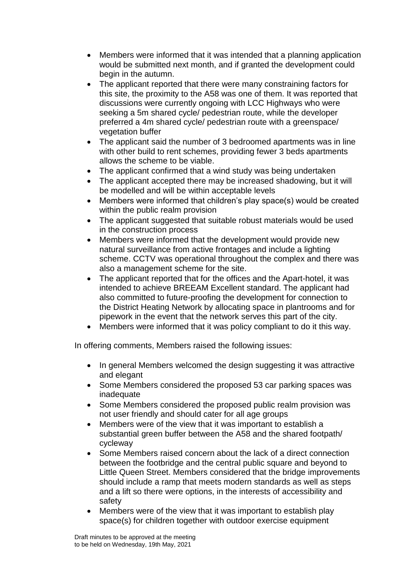- Members were informed that it was intended that a planning application would be submitted next month, and if granted the development could begin in the autumn.
- The applicant reported that there were many constraining factors for this site, the proximity to the A58 was one of them. It was reported that discussions were currently ongoing with LCC Highways who were seeking a 5m shared cycle/ pedestrian route, while the developer preferred a 4m shared cycle/ pedestrian route with a greenspace/ vegetation buffer
- The applicant said the number of 3 bedroomed apartments was in line with other build to rent schemes, providing fewer 3 beds apartments allows the scheme to be viable.
- The applicant confirmed that a wind study was being undertaken
- The applicant accepted there may be increased shadowing, but it will be modelled and will be within acceptable levels
- Members were informed that children's play space(s) would be created within the public realm provision
- The applicant suggested that suitable robust materials would be used in the construction process
- Members were informed that the development would provide new natural surveillance from active frontages and include a lighting scheme. CCTV was operational throughout the complex and there was also a management scheme for the site.
- The applicant reported that for the offices and the Apart-hotel, it was intended to achieve BREEAM Excellent standard. The applicant had also committed to future-proofing the development for connection to the District Heating Network by allocating space in plantrooms and for pipework in the event that the network serves this part of the city.
- Members were informed that it was policy compliant to do it this way.

In offering comments, Members raised the following issues:

- In general Members welcomed the design suggesting it was attractive and elegant
- Some Members considered the proposed 53 car parking spaces was inadequate
- Some Members considered the proposed public realm provision was not user friendly and should cater for all age groups
- Members were of the view that it was important to establish a substantial green buffer between the A58 and the shared footpath/ cycleway
- Some Members raised concern about the lack of a direct connection between the footbridge and the central public square and beyond to Little Queen Street. Members considered that the bridge improvements should include a ramp that meets modern standards as well as steps and a lift so there were options, in the interests of accessibility and safety
- Members were of the view that it was important to establish play space(s) for children together with outdoor exercise equipment